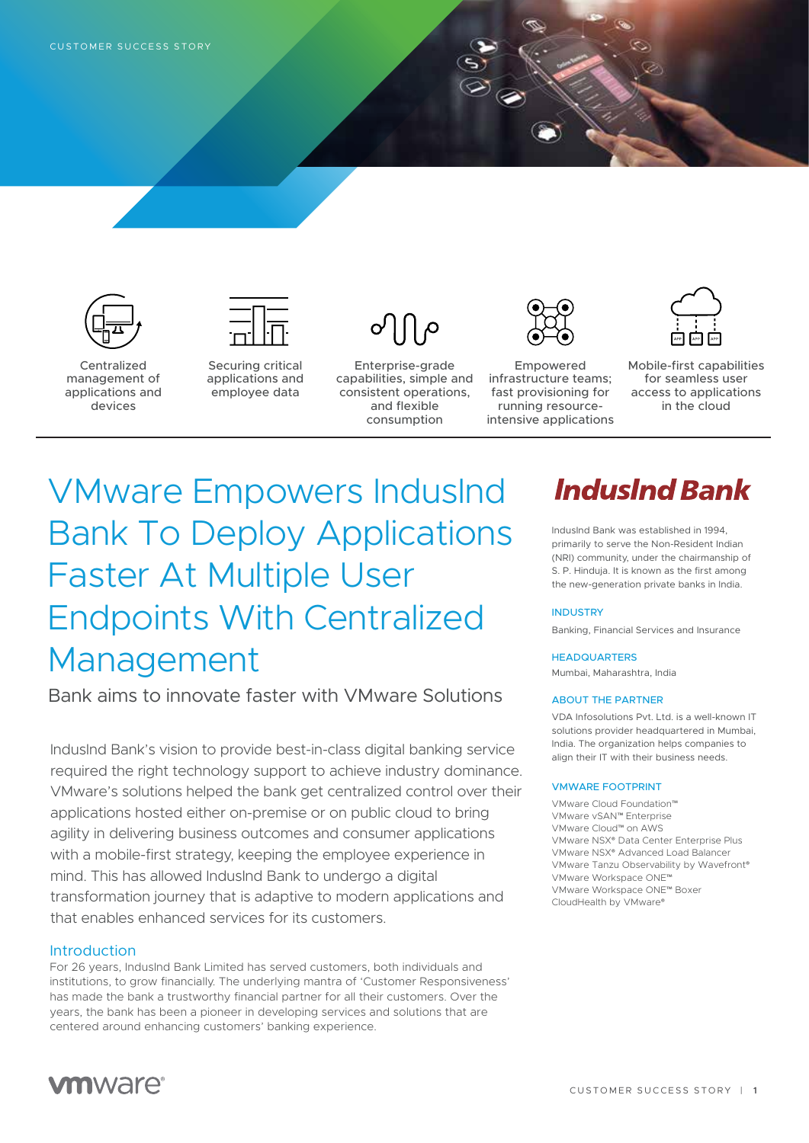



Centralized management of applications and devices

Securing critical applications and employee data



Enterprise-grade capabilities, simple and consistent operations, and flexible consumption



Empowered infrastructure teams; fast provisioning for running resourceintensive applications



Mobile-first capabilities for seamless user access to applications in the cloud

# VMware Empowers IndusInd Bank To Deploy Applications Faster At Multiple User Endpoints With Centralized Management

Bank aims to innovate faster with VMware Solutions

IndusInd Bank's vision to provide best-in-class digital banking service required the right technology support to achieve industry dominance. VMware's solutions helped the bank get centralized control over their applications hosted either on-premise or on public cloud to bring agility in delivering business outcomes and consumer applications with a mobile-first strategy, keeping the employee experience in mind. This has allowed IndusInd Bank to undergo a digital transformation journey that is adaptive to modern applications and that enables enhanced services for its customers.

#### Introduction

For 26 years, IndusInd Bank Limited has served customers, both individuals and institutions, to grow financially. The underlying mantra of 'Customer Responsiveness' has made the bank a trustworthy financial partner for all their customers. Over the years, the bank has been a pioneer in developing services and solutions that are centered around enhancing customers' banking experience.

## **IndusInd Bank**

IndusInd Bank was established in 1994, primarily to serve the Non-Resident Indian (NRI) community, under the chairmanship of S. P. Hinduja. It is known as the first among the new-generation private banks in India.

#### **INDUSTRY**

Banking, Financial Services and Insurance

#### **HEADQUARTERS**

Mumbai, Maharashtra, India

#### ABOUT THE PARTNER

VDA Infosolutions Pvt. Ltd. is a well-known IT solutions provider headquartered in Mumbai, India. The organization helps companies to align their IT with their business needs.

#### VMWARE FOOTPRINT

VMware Cloud Foundation™ VMware vSAN™ Enterprise VMware Cloud™ on AWS VMware NSX® Data Center Enterprise Plus VMware NSX® Advanced Load Balancer VMware Tanzu Observability by Wavefront® VMware Workspace ONE™ VMware Workspace ONE™ Boxer CloudHealth by VMware®

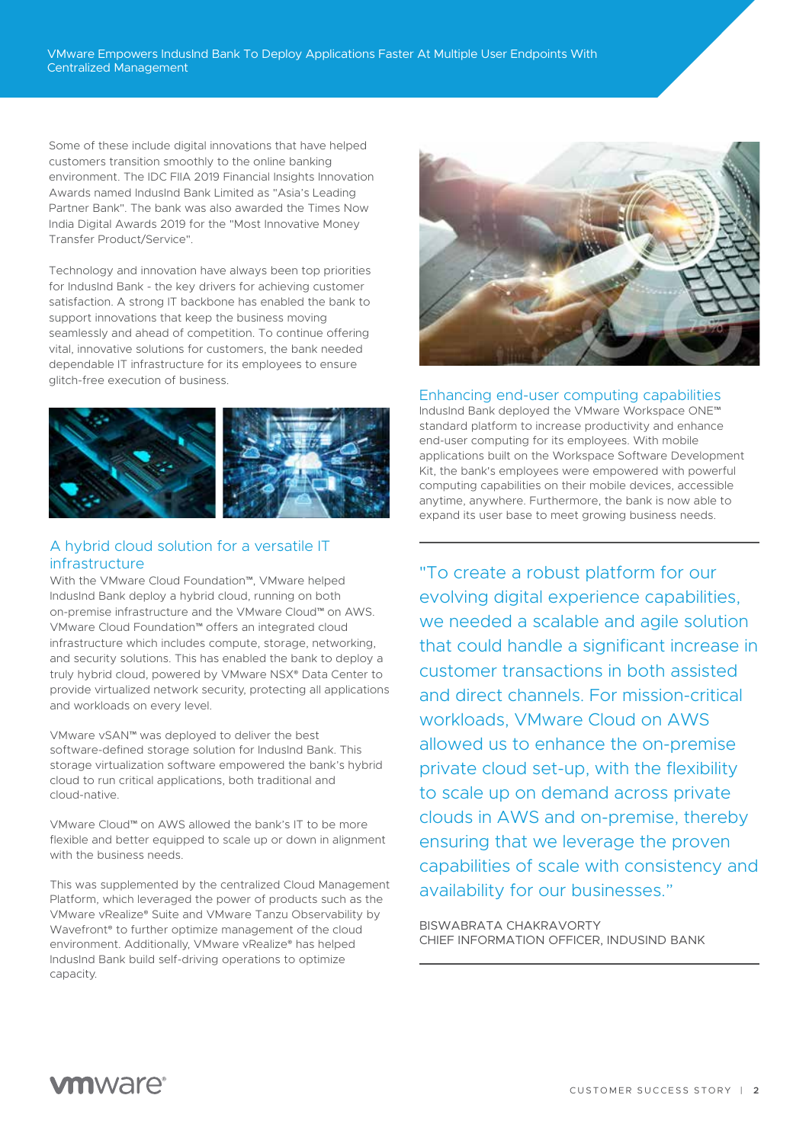Some of these include digital innovations that have helped customers transition smoothly to the online banking environment. The IDC FIIA 2019 Financial Insights Innovation Awards named IndusInd Bank Limited as "Asia's Leading Partner Bank". The bank was also awarded the Times Now India Digital Awards 2019 for the "Most Innovative Money Transfer Product/Service".

Technology and innovation have always been top priorities for IndusInd Bank - the key drivers for achieving customer satisfaction. A strong IT backbone has enabled the bank to support innovations that keep the business moving seamlessly and ahead of competition. To continue offering vital, innovative solutions for customers, the bank needed dependable IT infrastructure for its employees to ensure glitch-free execution of business.



## A hybrid cloud solution for a versatile IT infrastructure

With the VMware Cloud Foundation™, VMware helped IndusInd Bank deploy a hybrid cloud, running on both on-premise infrastructure and the VMware Cloud™ on AWS. VMware Cloud Foundation™ offers an integrated cloud infrastructure which includes compute, storage, networking, and security solutions. This has enabled the bank to deploy a truly hybrid cloud, powered by VMware NSX® Data Center to provide virtualized network security, protecting all applications and workloads on every level.

VMware vSAN™ was deployed to deliver the best software-defined storage solution for IndusInd Bank. This storage virtualization software empowered the bank's hybrid cloud to run critical applications, both traditional and cloud-native.

VMware Cloud™ on AWS allowed the bank's IT to be more flexible and better equipped to scale up or down in alignment with the business needs.

This was supplemented by the centralized Cloud Management Platform, which leveraged the power of products such as the VMware vRealize® Suite and VMware Tanzu Observability by Wavefront® to further optimize management of the cloud environment. Additionally, VMware vRealize® has helped IndusInd Bank build self-driving operations to optimize capacity.



### Enhancing end-user computing capabilities

IndusInd Bank deployed the VMware Workspace ONE™ standard platform to increase productivity and enhance end-user computing for its employees. With mobile applications built on the Workspace Software Development Kit, the bank's employees were empowered with powerful computing capabilities on their mobile devices, accessible anytime, anywhere. Furthermore, the bank is now able to expand its user base to meet growing business needs.

"To create a robust platform for our evolving digital experience capabilities, we needed a scalable and agile solution that could handle a significant increase in customer transactions in both assisted and direct channels. For mission-critical workloads, VMware Cloud on AWS allowed us to enhance the on-premise private cloud set-up, with the flexibility to scale up on demand across private clouds in AWS and on-premise, thereby ensuring that we leverage the proven capabilities of scale with consistency and availability for our businesses."

BISWABRATA CHAKRAVORTY CHIEF INFORMATION OFFICER, INDUSIND BANK

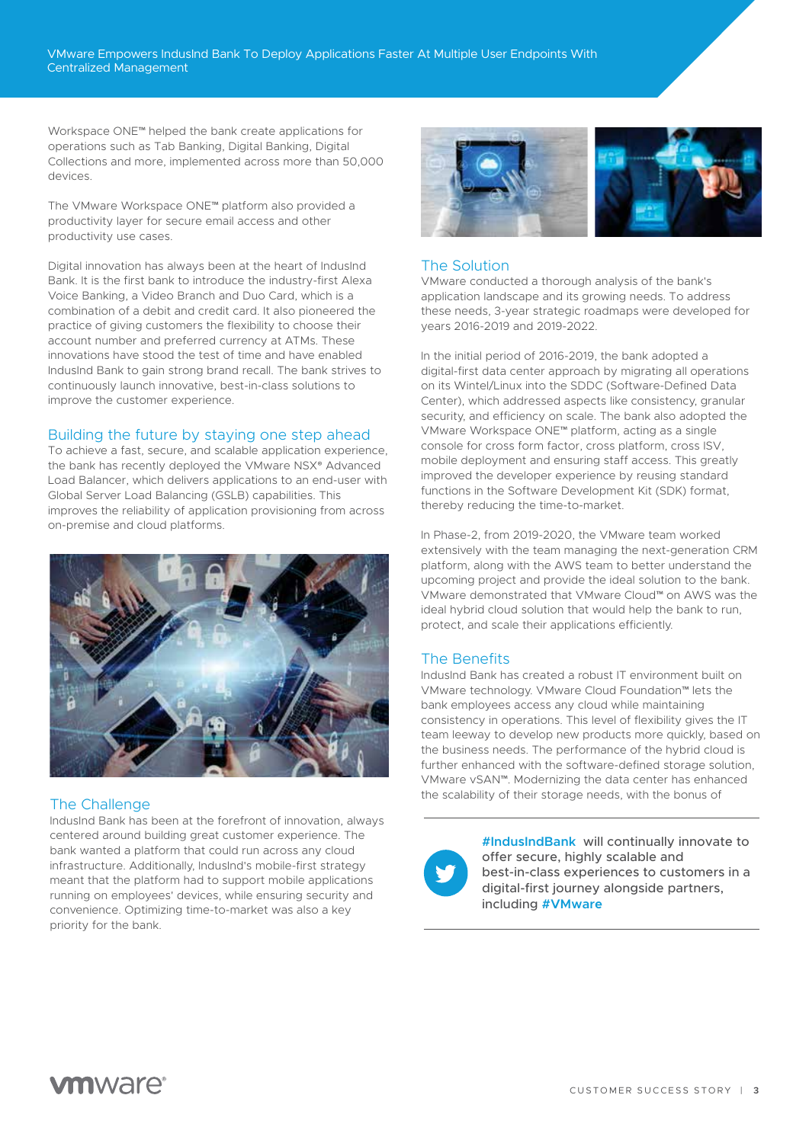Workspace ONE™ helped the bank create applications for operations such as Tab Banking, Digital Banking, Digital Collections and more, implemented across more than 50,000 devices.

The VMware Workspace ONE™ platform also provided a productivity layer for secure email access and other productivity use cases.

Digital innovation has always been at the heart of IndusInd Bank. It is the first bank to introduce the industry-first Alexa Voice Banking, a Video Branch and Duo Card, which is a combination of a debit and credit card. It also pioneered the practice of giving customers the flexibility to choose their account number and preferred currency at ATMs. These innovations have stood the test of time and have enabled IndusInd Bank to gain strong brand recall. The bank strives to continuously launch innovative, best-in-class solutions to improve the customer experience.

### Building the future by staying one step ahead

To achieve a fast, secure, and scalable application experience, the bank has recently deployed the VMware NSX® Advanced Load Balancer, which delivers applications to an end-user with Global Server Load Balancing (GSLB) capabilities. This improves the reliability of application provisioning from across on-premise and cloud platforms.



## The Challenge

IndusInd Bank has been at the forefront of innovation, always centered around building great customer experience. The bank wanted a platform that could run across any cloud infrastructure. Additionally, IndusInd's mobile-first strategy meant that the platform had to support mobile applications running on employees' devices, while ensuring security and convenience. Optimizing time-to-market was also a key priority for the bank.



## The Solution

VMware conducted a thorough analysis of the bank's application landscape and its growing needs. To address these needs, 3-year strategic roadmaps were developed for years 2016-2019 and 2019-2022.

In the initial period of 2016-2019, the bank adopted a digital-first data center approach by migrating all operations on its Wintel/Linux into the SDDC (Software-Defined Data Center), which addressed aspects like consistency, granular security, and efficiency on scale. The bank also adopted the VMware Workspace ONE™ platform, acting as a single console for cross form factor, cross platform, cross ISV, mobile deployment and ensuring staff access. This greatly improved the developer experience by reusing standard functions in the Software Development Kit (SDK) format, thereby reducing the time-to-market.

In Phase-2, from 2019-2020, the VMware team worked extensively with the team managing the next-generation CRM platform, along with the AWS team to better understand the upcoming project and provide the ideal solution to the bank. VMware demonstrated that VMware Cloud™ on AWS was the ideal hybrid cloud solution that would help the bank to run, protect, and scale their applications efficiently.

## The Benefits

IndusInd Bank has created a robust IT environment built on VMware technology. VMware Cloud Foundation™ lets the bank employees access any cloud while maintaining consistency in operations. This level of flexibility gives the IT team leeway to develop new products more quickly, based on the business needs. The performance of the hybrid cloud is further enhanced with the software-defined storage solution, VMware vSAN™. Modernizing the data center has enhanced the scalability of their storage needs, with the bonus of



**#IndusIndBank** will continually innovate to offer secure, highly scalable and best-in-class experiences to customers in a digital-first journey alongside partners, including **#VMware**